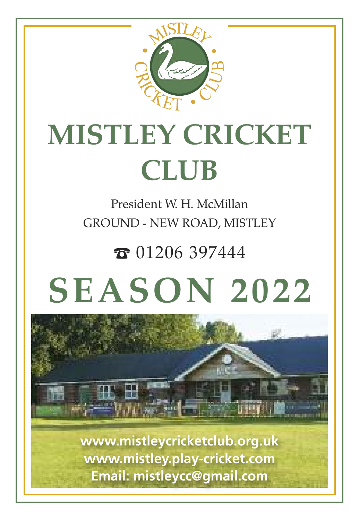

# **MISTLEY CRICKET CLUB**

President W. H. McMillan GROUND - NEW ROAD, MISTLEY

 $\bar{x}$  01206 397444

# **SEASON 2022**



**www.mistleycricketclub.org.uk www.mistley.play-cricket.com Email: mistleycc@gmail.com**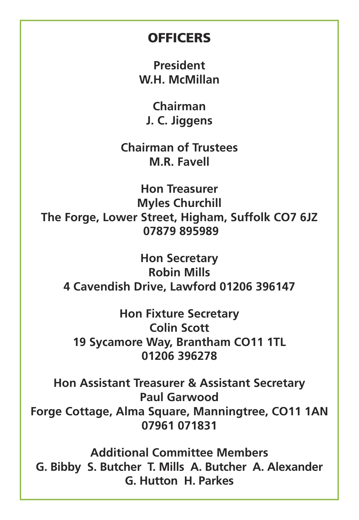#### **OFFICERS**

**President W.H. McMillan**

**Chairman J. C. Jiggens**

**Chairman of Trustees M.R. Favell**

**Hon Treasurer Myles Churchill The Forge, Lower Street, Higham, Suffolk CO7 6JZ 07879 895989**

**Hon Secretary Robin Mills 4 Cavendish Drive, Lawford 01206 396147**

**Hon Fixture Secretary Colin Scott 19 Sycamore Way, Brantham CO11 1TL 01206 396278**

**Hon Assistant Treasurer & Assistant Secretary Paul Garwood Forge Cottage, Alma Square, Manningtree, CO11 1AN 07961 071831**

**Additional Committee Members G. Bibby S. Butcher T. Mills A. Butcher A. Alexander G. Hutton H. Parkes**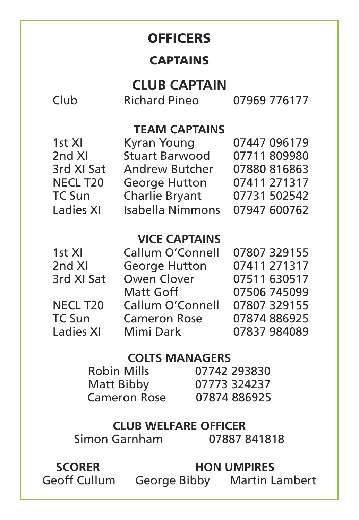#### **OFFICERS**

#### **CAPTAINS**

#### **CLUB CAPTAIN**

Club Richard Pineo 07969 776177

#### **TEAM CAPTAINS**

| 1st XI               | Kyran Young           | 07447 096179 |
|----------------------|-----------------------|--------------|
| 2nd XI               | <b>Stuart Barwood</b> | 07711 809980 |
| 3rd XI Sat           | Andrew Butcher        | 07880 816863 |
| NECL T <sub>20</sub> | George Hutton         | 07411 271317 |
| TC Sun               | Charlie Bryant        | 07731 502542 |
| Ladies XI            | Isabella Nimmons      | 07947 600762 |

#### **VICE CAPTAINS**

 1st XI Callum O'Connell 07807 329155 2nd XI George Hutton 07411 271317<br>3rd XI Sat Owen Clover 07511 630517 Owen Clover 07511 630517<br>Matt Goff 07506 745099 Matt Goff 07506 745099<br>NECL T20 Callum O'Connell 07807 329155 NECL T20 Callum O'Connell 07807 329155 Cameron Rose 07874 886925<br>Mimi Dark 07837 984089 rc sun<br>Ladies XI

#### **COLTS MANAGERS**

Robin Mills 07742 293830 Matt Bibby 07773 324237 Cameron Rose

# **CLUB WELFARE OFFICER**

Simon Garnham

 **SCORER HON UMPIRES**

Geoff Cullum George Bibby Martin Lambert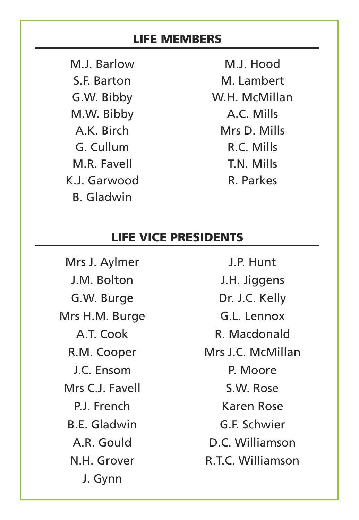#### **LIFE MEMBERS**

M.J. Barlow S.F. Barton G.W. Bibby M.W. Bibby A.K. Birch G. Cullum M.R. Favell K.J. Garwood B. Gladwin

M.J. Hood M. Lambert W.H. McMillan A.C. Mills Mrs D. Mills R.C. Mills T.N. Mills R. Parkes

J.P. Hunt

#### **LIFE VICE PRESIDENTS**

Mrs J. Aylmer J.M. Bolton G.W. Burge Mrs H.M. Burge A.T. Cook R.M. Cooper J.C. Ensom Mrs C.J. Favell P.J. French B.E. Gladwin A.R. Gould N.H. Grover J. Gynn

J.H. Jiggens Dr. J.C. Kelly G.L. Lennox R. Macdonald Mrs J.C. McMillan P. Moore S.W. Rose Karen Rose G.F. Schwier D.C. Williamson R.T.C. Williamson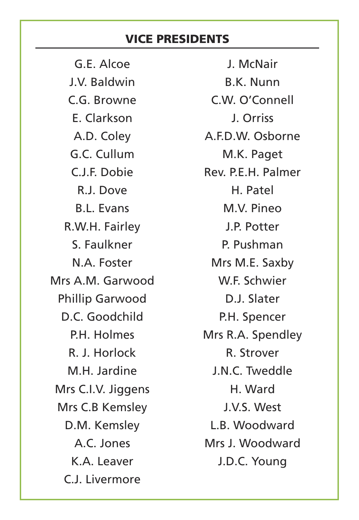#### **VICE PRESIDENTS**

G.E. Alcoe J.V. Baldwin C.G. Browne E. Clarkson A.D. Coley G.C. Cullum C.J.F. Dobie R.J. Dove B.L. Evans R.W.H. Fairley S. Faulkner N.A. Foster Mrs A.M. Garwood Phillip Garwood D.C. Goodchild P.H. Holmes R. J. Horlock M.H. Jardine Mrs C.I.V. Jiggens Mrs C.B Kemsley D.M. Kemsley A.C. Jones K.A. Leaver C.J. Livermore

J. McNair B.K. Nunn C.W. O'Connell J. Orriss A.F.D.W. Osborne M.K. Paget Rev. P.F.H. Palmer. H. Patel M.V. Pineo J.P. Potter P. Pushman Mrs M.E. Saxby W.F. Schwier D.J. Slater P.H. Spencer Mrs R.A. Spendley R. Strover J.N.C. Tweddle H. Ward J.V.S. West L.B. Woodward Mrs J. Woodward J.D.C. Young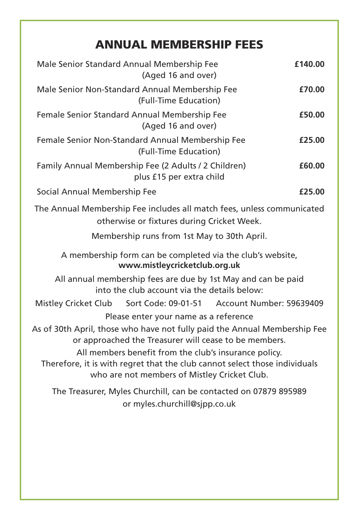#### **ANNUAL MEMBERSHIP FEES**

| Male Senior Standard Annual Membership Fee<br>£140.00<br>(Aged 16 and over)                                                                                                                                                                                                                                               |        |  |  |  |
|---------------------------------------------------------------------------------------------------------------------------------------------------------------------------------------------------------------------------------------------------------------------------------------------------------------------------|--------|--|--|--|
| Male Senior Non-Standard Annual Membership Fee<br>(Full-Time Education)                                                                                                                                                                                                                                                   | £70.00 |  |  |  |
| Female Senior Standard Annual Membership Fee<br>(Aged 16 and over)                                                                                                                                                                                                                                                        | £50.00 |  |  |  |
| Female Senior Non-Standard Annual Membership Fee<br>(Full-Time Education)                                                                                                                                                                                                                                                 | £25.00 |  |  |  |
| Family Annual Membership Fee (2 Adults / 2 Children)<br>plus £15 per extra child                                                                                                                                                                                                                                          | £60.00 |  |  |  |
| Social Annual Membership Fee                                                                                                                                                                                                                                                                                              | £25.00 |  |  |  |
| The Annual Membership Fee includes all match fees, unless communicated<br>otherwise or fixtures during Cricket Week.                                                                                                                                                                                                      |        |  |  |  |
| Membership runs from 1st May to 30th April.                                                                                                                                                                                                                                                                               |        |  |  |  |
| A membership form can be completed via the club's website,<br>www.mistleycricketclub.org.uk                                                                                                                                                                                                                               |        |  |  |  |
| All annual membership fees are due by 1st May and can be paid<br>into the club account via the details below:                                                                                                                                                                                                             |        |  |  |  |
| Sort Code: 09-01-51 Account Number: 59639409<br><b>Mistley Cricket Club</b>                                                                                                                                                                                                                                               |        |  |  |  |
| Please enter your name as a reference                                                                                                                                                                                                                                                                                     |        |  |  |  |
| As of 30th April, those who have not fully paid the Annual Membership Fee<br>or approached the Treasurer will cease to be members.<br>All members benefit from the club's insurance policy.<br>Therefore, it is with regret that the club cannot select those individuals<br>who are not members of Mistley Cricket Club. |        |  |  |  |
| The Treasurer, Myles Churchill, can be contacted on 07879 895989<br>or myles.churchill@sjpp.co.uk                                                                                                                                                                                                                         |        |  |  |  |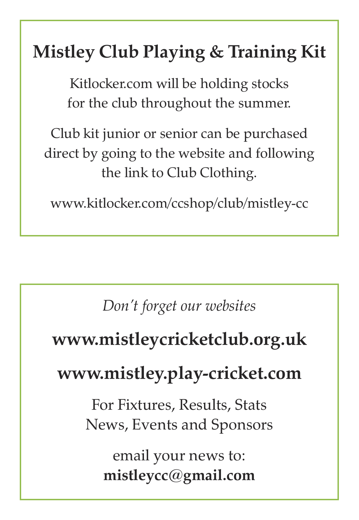# **Mistley Club Playing & Training Kit**

Kitlocker.com will be holding stocks for the club throughout the summer.

Club kit junior or senior can be purchased direct by going to the website and following the link to Club Clothing.

www.kitlocker.com/ccshop/club/mistley-cc

*Don't forget our websites*

# **www.mistleycricketclub.org.uk**

# **www.mistley.play-cricket.com**

For Fixtures, Results, Stats News, Events and Sponsors

email your news to: **mistleycc@gmail.com**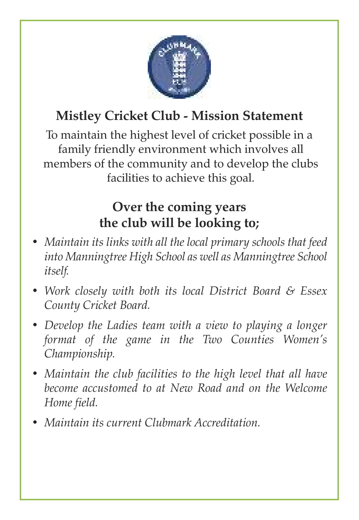

# **Mistley Cricket Club - Mission Statement**

To maintain the highest level of cricket possible in a family friendly environment which involves all members of the community and to develop the clubs facilities to achieve this goal.

## **Over the coming years the club will be looking to;**

- *• Maintain its links with all the local primary schools that feed into Manningtree High School as well as Manningtree School itself.*
- *• Work closely with both its local District Board & Essex County Cricket Board.*
- *• Develop the Ladies team with a view to playing a longer format of the game in the Two Counties Women's Championship.*
- *• Maintain the club facilities to the high level that all have become accustomed to at New Road and on the Welcome Home field.*
- *• Maintain its current Clubmark Accreditation.*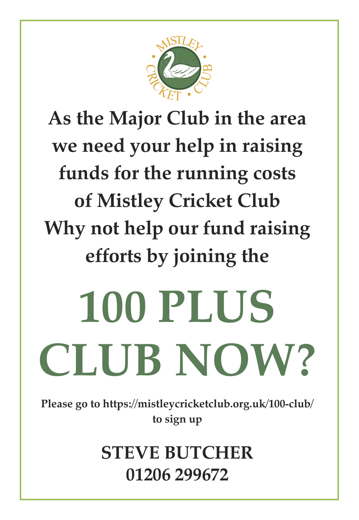

# **As the Major Club in the area we need your help in raising funds for the running costs of Mistley Cricket Club Why not help our fund raising efforts by joining the**

# **100 PLUS CLUB NOW?**

**Please go to https://mistleycricketclub.org.uk/100-club/ to sign up**

> **STEVE BUTCHER 01206 299672**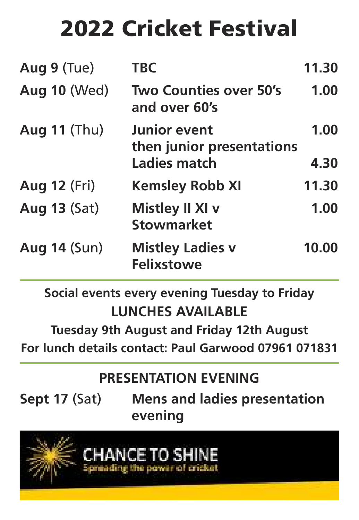# **2022 Cricket Festival**

| Aug 9 (Tue)         | <b>TBC</b>                                                | 11.30        |
|---------------------|-----------------------------------------------------------|--------------|
| <b>Aug 10 (Wed)</b> | <b>Two Counties over 50's</b><br>and over 60's            | 1.00         |
| <b>Aug 11 (Thu)</b> | Junior event<br>then junior presentations<br>Ladies match | 1.00<br>4.30 |
|                     |                                                           |              |
| <b>Aug 12 (Fri)</b> | <b>Kemsley Robb XI</b>                                    | 11.30        |
| <b>Aug 13 (Sat)</b> | Mistley II XI v<br><b>Stowmarket</b>                      | 1.00         |
| <b>Aug 14 (Sun)</b> | <b>Mistley Ladies v</b><br><b>Felixstowe</b>              | 10.00        |

**Social events every evening Tuesday to Friday LUNCHES AVAILABLE**

**Tuesday 9th August and Friday 12th August For lunch details contact: Paul Garwood 07961 071831**

# **PRESENTATION EVENING**

**Sept 17** (Sat) **Mens and ladies presentation evening**

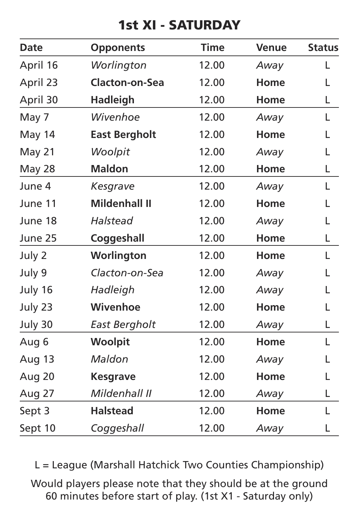## **1st XI - SATURDAY**

| Date     | <b>Opponents</b>     | <b>Time</b> | Venue | <b>Status</b> |
|----------|----------------------|-------------|-------|---------------|
| April 16 | Worlington           | 12.00       | Away  | L             |
| April 23 | Clacton-on-Sea       | 12.00       | Home  | L             |
| April 30 | <b>Hadleigh</b>      | 12.00       | Home  | L             |
| May 7    | Wivenhoe             | 12.00       | Away  | L             |
| May 14   | <b>East Bergholt</b> | 12.00       | Home  | L             |
| May 21   | Woolpit              | 12.00       | Away  | L             |
| May 28   | Maldon               | 12.00       | Home  | L             |
| June 4   | Kesgrave             | 12.00       | Away  | L             |
| June 11  | <b>Mildenhall II</b> | 12.00       | Home  | L             |
| June 18  | Halstead             | 12.00       | Away  | L             |
| June 25  | Coggeshall           | 12.00       | Home  | L             |
| July 2   | Worlington           | 12.00       | Home  | L             |
| July 9   | Clacton-on-Sea       | 12.00       | Away  | L             |
| July 16  | Hadleigh             | 12.00       | Away  | L             |
| July 23  | Wivenhoe             | 12.00       | Home  | L             |
| July 30  | East Bergholt        | 12.00       | Away  | L             |
| Aug 6    | Woolpit              | 12.00       | Home  | L             |
| Aug 13   | Maldon               | 12.00       | Away  | L             |
| Aug 20   | <b>Kesgrave</b>      | 12.00       | Home  | L             |
| Aug 27   | Mildenhall II        | 12.00       | Away  | L             |
| Sept 3   | <b>Halstead</b>      | 12.00       | Home  | L             |
| Sept 10  | Coggeshall           | 12.00       | Away  | L             |

L = League (Marshall Hatchick Two Counties Championship) Would players please note that they should be at the ground 60 minutes before start of play. (1st X1 - Saturday only)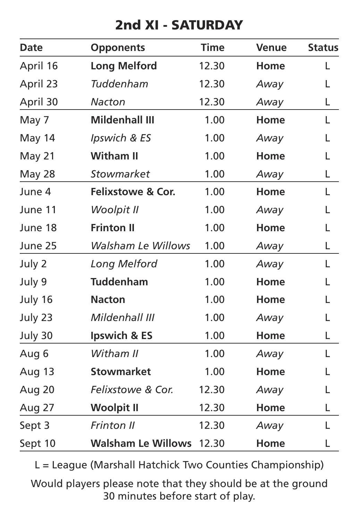## **2nd XI - SATURDAY**

| Date     | <b>Opponents</b>             | <b>Time</b> | Venue | <b>Status</b> |
|----------|------------------------------|-------------|-------|---------------|
| April 16 | <b>Long Melford</b>          | 12.30       | Home  | L             |
| April 23 | Tuddenham                    | 12.30       | Away  | L             |
| April 30 | Nacton                       | 12.30       | Away  | L             |
| May 7    | <b>Mildenhall III</b>        | 1.00        | Home  | L             |
| May 14   | Ipswich & ES                 | 1.00        | Away  | L             |
| May 21   | Witham II                    | 1.00        | Home  | L             |
| May 28   | Stowmarket                   | 1.00        | Away  | L             |
| June 4   | <b>Felixstowe &amp; Cor.</b> | 1.00        | Home  | L             |
| June 11  | Woolpit II                   | 1.00        | Away  | L             |
| June 18  | <b>Frinton II</b>            | 1.00        | Home  | L             |
| June 25  | <b>Walsham Le Willows</b>    | 1.00        | Away  | L             |
| July 2   | Long Melford                 | 1.00        | Away  | L             |
| July 9   | <b>Tuddenham</b>             | 1.00        | Home  | L             |
| July 16  | Nacton                       | 1.00        | Home  | L             |
| July 23  | Mildenhall III               | 1.00        | Away  | L             |
| July 30  | Ipswich & ES                 | 1.00        | Home  | L             |
| Aug 6    | Witham II                    | 1.00        | Away  | L             |
| Aug 13   | <b>Stowmarket</b>            | 1.00        | Home  | L             |
| Aug 20   | Felixstowe & Cor.            | 12.30       | Away  | L             |
| Aug 27   | <b>Woolpit II</b>            | 12.30       | Home  | L             |
| Sept 3   | Frinton II                   | 12.30       | Away  | L             |
| Sept 10  | <b>Walsham Le Willows</b>    | 12.30       | Home  | L             |

L = League (Marshall Hatchick Two Counties Championship) Would players please note that they should be at the ground

30 minutes before start of play.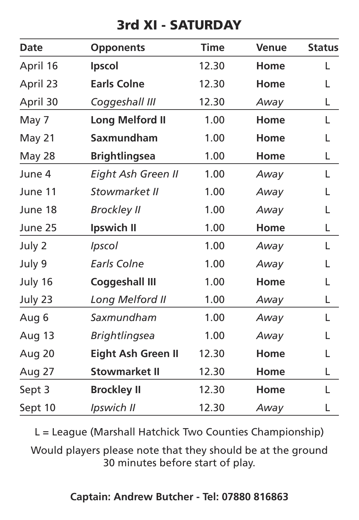# **3rd XI - SATURDAY**

| Date     | Opponents            | <b>Time</b> | Venue | <b>Status</b> |
|----------|----------------------|-------------|-------|---------------|
| April 16 | Ipscol               | 12.30       | Home  | L             |
| April 23 | <b>Earls Colne</b>   | 12.30       | Home  | L             |
| April 30 | Coggeshall III       | 12.30       | Away  | L             |
| May 7    | Long Melford II      | 1.00        | Home  | L             |
| May 21   | Saxmundham           | 1.00        | Home  | L             |
| May 28   | <b>Brightlingsea</b> | 1.00        | Home  | L             |
| June 4   | Eight Ash Green II   | 1.00        | Away  | L             |
| June 11  | Stowmarket II        | 1.00        | Away  | L             |
| June 18  | <b>Brockley II</b>   | 1.00        | Away  | L             |
| June 25  | Ipswich II           | 1.00        | Home  | L             |
| July 2   | Ipscol               | 1.00        | Away  | L             |
| July 9   | Earls Colne          | 1.00        | Away  | L             |
| July 16  | Coggeshall III       | 1.00        | Home  | L             |
| July 23  | Long Melford II      | 1.00        | Away  | L             |
| Aug 6    | Saxmundham           | 1.00        | Away  | L             |
| Aug 13   | <b>Brightlingsea</b> | 1.00        | Away  | L             |
| Aug 20   | Eight Ash Green II   | 12.30       | Home  | L             |
| Aug 27   | <b>Stowmarket II</b> | 12.30       | Home  | L             |
| Sept 3   | <b>Brockley II</b>   | 12.30       | Home  | L             |
| Sept 10  | Ipswich II           | 12.30       | Away  | L             |

L = League (Marshall Hatchick Two Counties Championship)

Would players please note that they should be at the ground 30 minutes before start of play.

#### **Captain: Andrew Butcher - Tel: 07880 816863**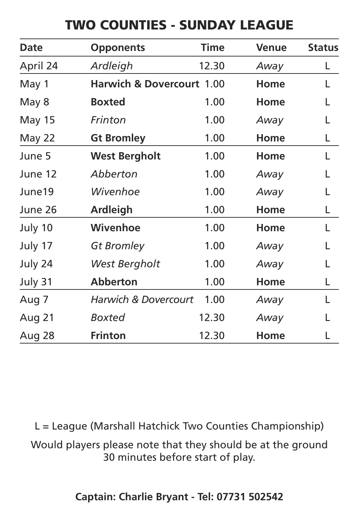## **TWO COUNTIES - SUNDAY LEAGUE**

| Date     | <b>Opponents</b>                     | <b>Time</b> | Venue | <b>Status</b> |
|----------|--------------------------------------|-------------|-------|---------------|
| April 24 | Ardleigh                             | 12.30       | Away  | L             |
| May 1    | <b>Harwich &amp; Dovercourt 1.00</b> |             | Home  | L             |
| May 8    | <b>Boxted</b>                        | 1.00        | Home  | L             |
| May 15   | Frinton                              | 1.00        | Away  | L             |
| May 22   | <b>Gt Bromley</b>                    | 1.00        | Home  | L             |
| June 5   | <b>West Bergholt</b>                 | 1.00        | Home  | L             |
| June 12  | Abberton                             | 1.00        | Away  | L             |
| June19   | Wivenhoe                             | 1.00        | Away  | L             |
| June 26  | Ardleigh                             | 1.00        | Home  | L             |
| July 10  | Wivenhoe                             | 1.00        | Home  | L             |
| July 17  | Gt Bromley                           | 1.00        | Away  |               |
| July 24  | West Bergholt                        | 1.00        | Away  | L             |
| July 31  | <b>Abberton</b>                      | 1.00        | Home  | L             |
| Aug 7    | <b>Harwich &amp; Dovercourt</b>      | 1.00        | Away  | L             |
| Aug 21   | Boxted                               | 12.30       | Away  |               |
| Aug 28   | <b>Frinton</b>                       | 12.30       | Home  |               |

L = League (Marshall Hatchick Two Counties Championship)

Would players please note that they should be at the ground 30 minutes before start of play.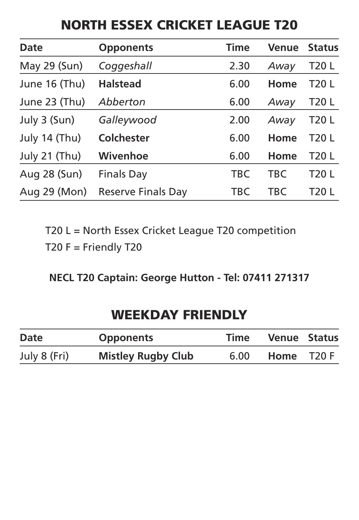## **NORTH ESSEX CRICKET LEAGUE T20**

| Date          | <b>Opponents</b>   | Time       | Venue      | <b>Status</b> |
|---------------|--------------------|------------|------------|---------------|
| May 29 (Sun)  | Coggeshall         | 2.30       | Away       | T20 L         |
| June 16 (Thu) | <b>Halstead</b>    | 6.00       | Home       | T20 L         |
| June 23 (Thu) | Abberton           | 6.00       | Away       | T20 L         |
| July 3 (Sun)  | Galleywood         | 2.00       | Away       | T20 L         |
| July 14 (Thu) | Colchester         | 6.00       | Home       | T20 L         |
| July 21 (Thu) | Wivenhoe           | 6.00       | Home       | T20 L         |
| Aug 28 (Sun)  | Finals Day         | <b>TBC</b> | <b>TBC</b> | T20 L         |
| Aug 29 (Mon)  | Reserve Finals Day | TBC        | TBC        | T20 L         |

T20 L = North Essex Cricket League T20 competition

T20  $F =$  Friendly T20

**NECL T20 Captain: George Hutton - Tel: 07411 271317**

## **WEEKDAY FRIENDLY**

| Date         | <b>Opponents</b>          | Time | <b>Venue Status</b> |  |
|--------------|---------------------------|------|---------------------|--|
| July 8 (Fri) | <b>Mistley Rugby Club</b> | 6.00 | Home T20 F          |  |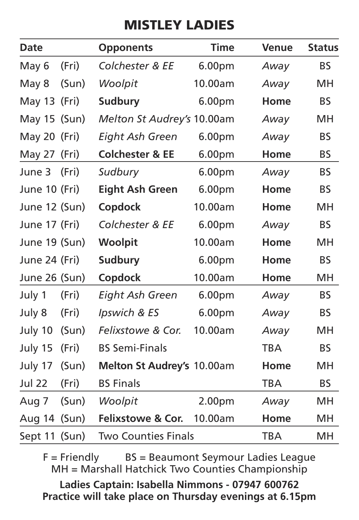# **MISTLEY LADIES**

| Date          |       | <b>Opponents</b>             | <b>Time</b>        | Venue      | <b>Status</b> |
|---------------|-------|------------------------------|--------------------|------------|---------------|
| May 6         | (Fri) | Colchester & EE              | 6.00 <sub>pm</sub> | Away       | <b>BS</b>     |
| May 8         | (Sun) | Woolpit                      | 10.00am            | Away       | MH            |
| May 13 (Fri)  |       | Sudbury                      | 6.00 <sub>pm</sub> | Home       | <b>BS</b>     |
| May 15 (Sun)  |       | Melton St Audrey's 10.00am   |                    | Away       | <b>MH</b>     |
| May 20 (Fri)  |       | Eight Ash Green              | 6.00 <sub>pm</sub> | Away       | <b>BS</b>     |
| May 27 (Fri)  |       | <b>Colchester &amp; EE</b>   | 6.00 <sub>pm</sub> | Home       | <b>BS</b>     |
| June 3        | (Fri) | Sudbury                      | 6.00 <sub>pm</sub> | Away       | <b>BS</b>     |
| June 10 (Fri) |       | Eight Ash Green              | 6.00 <sub>pm</sub> | Home       | <b>BS</b>     |
| June 12 (Sun) |       | Copdock                      | 10.00am            | Home       | MН            |
| June 17 (Fri) |       | Colchester & EE              | 6.00 <sub>pm</sub> | Away       | <b>BS</b>     |
| June 19 (Sun) |       | Woolpit                      | 10.00am            | Home       | MН            |
| June 24 (Fri) |       | Sudbury                      | 6.00 <sub>pm</sub> | Home       | <b>BS</b>     |
| June 26 (Sun) |       | Copdock                      | 10.00am            | Home       | MH            |
| July 1        | (Fri) | Eight Ash Green              | 6.00 <sub>pm</sub> | Away       | <b>BS</b>     |
| July 8        | (Fri) | Ipswich & ES                 | 6.00 <sub>pm</sub> | Away       | <b>BS</b>     |
| July 10       | (Sun) | Felixstowe & Cor.            | 10.00am            | Away       | MH            |
| July 15       | (Fri) | <b>BS Semi-Finals</b>        |                    | <b>TBA</b> | BS.           |
| July 17       | (Sun) | Melton St Audrey's 10.00am   |                    | Home       | <b>MH</b>     |
| <b>Jul 22</b> | (Fri) | <b>BS Finals</b>             |                    | <b>TBA</b> | <b>BS</b>     |
| Aug 7         | (Sun) | Woolpit                      | 2.00 <sub>pm</sub> | Away       | <b>MH</b>     |
| Aug 14 (Sun)  |       | <b>Felixstowe &amp; Cor.</b> | 10.00am            | Home       | MH            |
| Sept 11 (Sun) |       | <b>Two Counties Finals</b>   |                    | <b>TBA</b> | <b>MH</b>     |

F = Friendly BS = Beaumont Seymour Ladies League MH = Marshall Hatchick Two Counties Championship

**Ladies Captain: Isabella Nimmons - 07947 600762 Practice will take place on Thursday evenings at 6.15pm**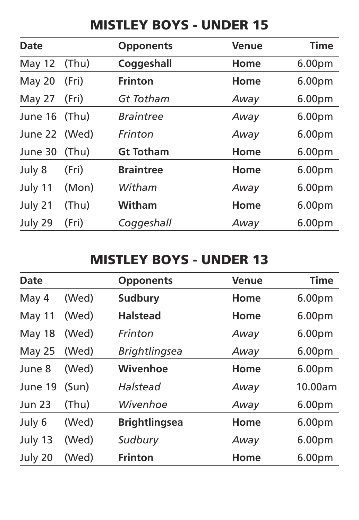#### **MISTLEY BOYS - UNDER 15**

| Date          |       | <b>Opponents</b> | Venue | <b>Time</b>        |
|---------------|-------|------------------|-------|--------------------|
| May 12        | (Thu) | Coggeshall       | Home  | 6.00 <sub>pm</sub> |
| May 20        | (Fri) | Frinton          | Home  | 6.00 <sub>pm</sub> |
| May 27        | (Fri) | Gt Totham        | Away  | 6.00 <sub>pm</sub> |
| June 16 (Thu) |       | <b>Braintree</b> | Away  | 6.00 <sub>pm</sub> |
| June 22 (Wed) |       | Frinton          | Away  | 6.00 <sub>pm</sub> |
| June 30       | (Thu) | <b>Gt Totham</b> | Home  | 6.00 <sub>pm</sub> |
| July 8        | (Fri) | <b>Braintree</b> | Home  | 6.00 <sub>pm</sub> |
| July 11       | (Mon) | Witham           | Away  | 6.00 <sub>pm</sub> |
| July 21       | (Thu) | Witham           | Home  | 6.00 <sub>pm</sub> |
| July 29       | (Fri) | Coggeshall       | Away  | 6.00 <sub>pm</sub> |

#### **MISTLEY BOYS - UNDER 13**

| Date          |       | <b>Opponents</b>     | Venue | Time               |
|---------------|-------|----------------------|-------|--------------------|
| May 4         | (Wed) | Sudbury              | Home  | 6.00 <sub>pm</sub> |
| May 11        | (Wed) | <b>Halstead</b>      | Home  | 6.00 <sub>pm</sub> |
| May 18        | (Wed) | Frinton              | Away  | 6.00 <sub>pm</sub> |
| May 25        | (Wed) | <b>Brightlingsea</b> | Away  | 6.00 <sub>pm</sub> |
| June 8        | (Wed) | Wivenhoe             | Home  | 6.00 <sub>pm</sub> |
| June 19       | (Sun) | Halstead             | Away  | 10.00am            |
| <b>Jun 23</b> | (Thu) | Wivenhoe             | Away  | 6.00 <sub>pm</sub> |
| July 6        | (Wed) | <b>Brightlingsea</b> | Home  | 6.00 <sub>pm</sub> |
| July 13       | (Wed) | Sudbury              | Away  | 6.00 <sub>pm</sub> |
| July 20       | (Wed) | Frinton              | Home  | 6.00 <sub>pm</sub> |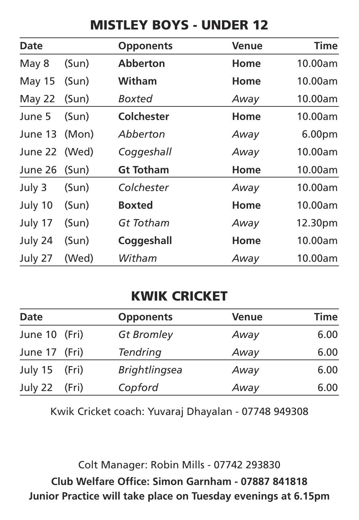## **MISTLEY BOYS - UNDER 12**

| Date          |       | <b>Opponents</b> | <b>Venue</b> | <b>Time</b>        |
|---------------|-------|------------------|--------------|--------------------|
| May 8         | (Sun) | <b>Abberton</b>  | Home         | 10.00am            |
| May 15        | (Sun) | Witham           | Home         | 10.00am            |
| May 22        | (Sun) | Boxted           | Away         | 10.00am            |
| June 5        | (Sun) | Colchester       | Home         | 10.00am            |
| June 13       | (Mon) | Abberton         | Away         | 6.00 <sub>pm</sub> |
| June 22 (Wed) |       | Coggeshall       | Away         | 10.00am            |
| June 26       | (Sun) | <b>Gt Totham</b> | Home         | 10.00am            |
| July 3        | (Sun) | Colchester       | Away         | 10.00am            |
| July 10       | (Sun) | <b>Boxted</b>    | Home         | 10.00am            |
| July 17       | (Sun) | Gt Totham        | Away         | 12.30pm            |
| July 24       | (Sun) | Coggeshall       | Home         | 10.00am            |
| July 27       | (Wed) | Witham           | Away         | 10.00am            |

# **KWIK CRICKET**

| Date          |       | <b>Opponents</b>     | <b>Venue</b> | Time |
|---------------|-------|----------------------|--------------|------|
| June 10 (Fri) |       | Gt Bromley           | Away         | 6.00 |
| June 17 (Fri) |       | Tendring             | Away         | 6.00 |
| July 15 (Fri) |       | <b>Brightlingsea</b> | Away         | 6.00 |
| July 22       | (Fri) | Copford              | Away         | 6.00 |

Kwik Cricket coach: Yuvaraj Dhayalan - 07748 949308

Colt Manager: Robin Mills - 07742 293830 **Club Welfare Office: Simon Garnham - 07887 841818 Junior Practice will take place on Tuesday evenings at 6.15pm**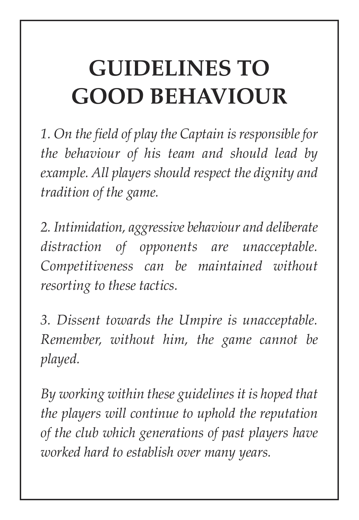# **GUIDELINES TO GOOD BEHAVIOUR**

*1. On the field of play the Captain is responsible for the behaviour of his team and should lead by example. All players should respect the dignity and tradition of the game.*

*2. Intimidation, aggressive behaviour and deliberate distraction of opponents are unacceptable. Competitiveness can be maintained without resorting to these tactics.*

*3. Dissent towards the Umpire is unacceptable. Remember, without him, the game cannot be played.*

*By working within these guidelines it is hoped that the players will continue to uphold the reputation of the club which generations of past players have worked hard to establish over many years.*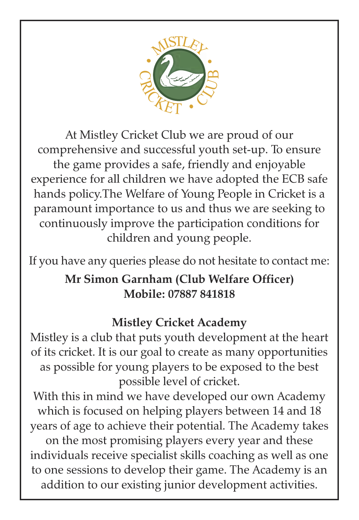

At Mistley Cricket Club we are proud of our comprehensive and successful youth set-up. To ensure the game provides a safe, friendly and enjoyable experience for all children we have adopted the ECB safe hands policy.The Welfare of Young People in Cricket is a paramount importance to us and thus we are seeking to continuously improve the participation conditions for children and young people.

If you have any queries please do not hesitate to contact me:

#### **Mr Simon Garnham (Club Welfare Officer) Mobile: 07887 841818**

#### **Mistley Cricket Academy**

Mistley is a club that puts youth development at the heart of its cricket. It is our goal to create as many opportunities as possible for young players to be exposed to the best possible level of cricket.

With this in mind we have developed our own Academy which is focused on helping players between 14 and 18 years of age to achieve their potential. The Academy takes on the most promising players every year and these individuals receive specialist skills coaching as well as one to one sessions to develop their game. The Academy is an addition to our existing junior development activities.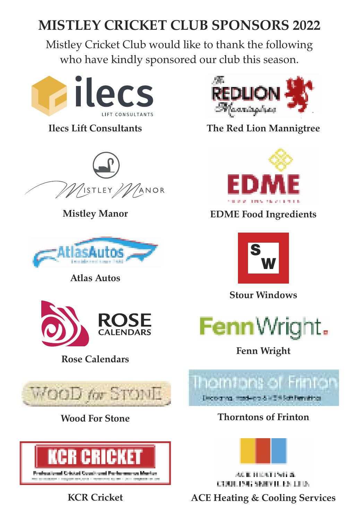# **MISTLEY CRICKET CLUB SPONSORS 2022**

Mistley Cricket Club would like to thank the following who have kindly sponsored our club this season.





**Mistley Manor**



**Atlas Autos**





**Wood For Stone**



**KCR Cricket**



**Ilecs Lift Consultants The Red Lion Mannigtree**



**EDME Food Ingredients**



**Stour Windows**



**Rose Calendars Fenn Wright**



**Thorntons of Frinton**



ACTERIZATING & **COULTS CONVILTS THE** 

**ACE Heating & Cooling Services**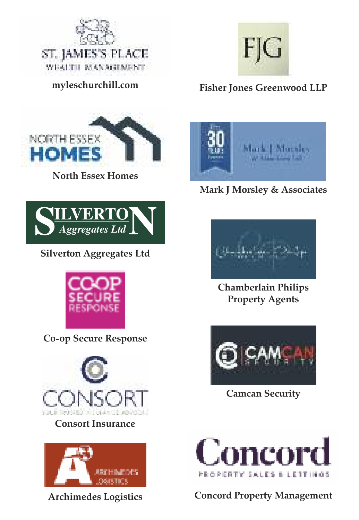

**myleschurchill.com**



**North Essex Homes**



**Silverton Aggregates Ltd**



**Co-op Secure Response**



#### **Consort Insurance**



**Archimedes Logistics**



#### **Fisher Jones Greenwood LLP**



**Mark J Morsley & Associates**



**Chamberlain Philips Property Agents**



**Camcan Security**



**Concord Property Management**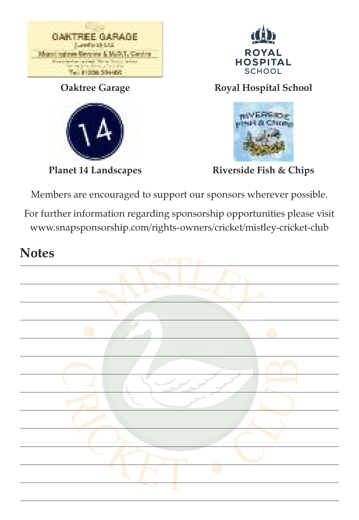

**Oaktree Garage**



**Planet 14 Landscapes**



**Royal Hospital School**



**Riverside Fish & Chips**

Members are encouraged to support our sponsors wherever possible.

For further information regarding sponsorship opportunities please visit www.snapsponsorship.com/rights-owners/cricket/mistley-cricket-club

#### **Notes**